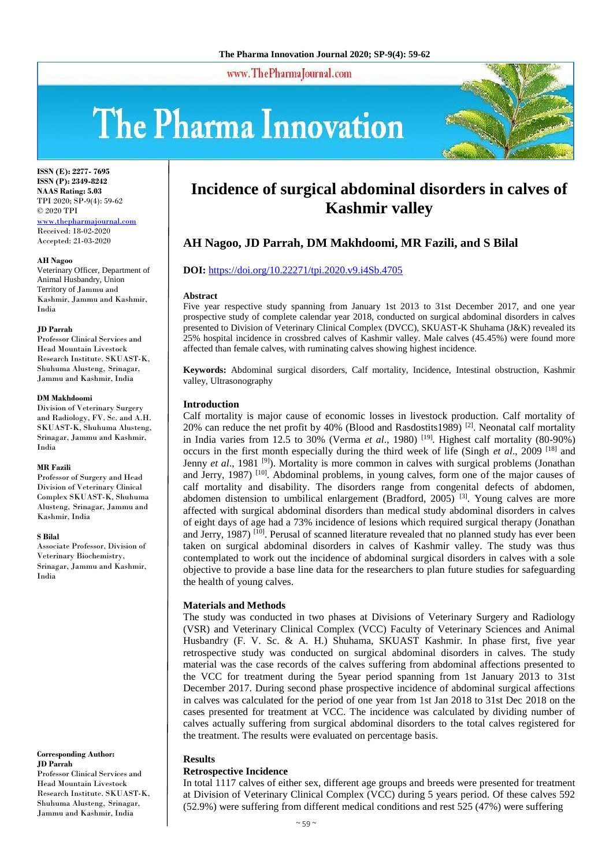www.ThePharmaJournal.com

# The Pharma Innovation



**ISSN (E): 2277- 7695 ISSN (P): 2349-8242 NAAS Rating: 5.03** TPI 2020; SP-9(4): 59-62 © 2020 TPI <www.thepharmajournal.com> Received: 18-02-2020 Accepted: 21-03-2020

#### **AH Nagoo**

Veterinary Officer, Department of Animal Husbandry, Union Territory of Jammu and Kashmir, Jammu and Kashmir, India

#### **JD Parrah**

Professor Clinical Services and Head Mountain Livestock Research Institute. SKUAST-K, Shuhuma Alusteng, Srinagar, Jammu and Kashmir, India

#### **DM Makhdoomi**

Division of Veterinary Surgery and Radiology, FV. Sc. and A.H. SKUAST-K, Shuhuma Alusteng, Srinagar, Jammu and Kashmir, India

#### **MR Fazili**

Professor of Surgery and Head Division of Veterinary Clinical Complex SKUAST-K, Shuhuma Alusteng, Srinagar, Jammu and Kashmir, India

#### **S Bilal**

Associate Professor, Division of Veterinary Biochemistry, Srinagar, Jammu and Kashmir, India

#### **Corresponding Author: JD Parrah**

Professor Clinical Services and Head Mountain Livestock Research Institute. SKUAST-K, Shuhuma Alusteng, Srinagar, Jammu and Kashmir, India

# **Incidence of surgical abdominal disorders in calves of Kashmir valley**

## **AH Nagoo, JD Parrah, DM Makhdoomi, MR Fazili, and S Bilal**

#### **DOI:** <https://doi.org/10.22271/tpi.2020.v9.i4Sb.4705>

#### **Abstract**

Five year respective study spanning from January 1st 2013 to 31st December 2017, and one year prospective study of complete calendar year 2018, conducted on surgical abdominal disorders in calves presented to Division of Veterinary Clinical Complex (DVCC), SKUAST-K Shuhama (J&K) revealed its 25% hospital incidence in crossbred calves of Kashmir valley. Male calves (45.45%) were found more affected than female calves, with ruminating calves showing highest incidence.

**Keywords:** Abdominal surgical disorders, Calf mortality, Incidence, Intestinal obstruction, Kashmir valley, Ultrasonography

#### **Introduction**

Calf mortality is major cause of economic losses in livestock production. Calf mortality of 20% can reduce the net profit by 40% (Blood and Rasdostits1989)  $^{[2]}$ . Neonatal calf mortality in India varies from 12.5 to 30% (Verma et al., 1980)<sup>[19]</sup>. Highest calf mortality (80-90%) occurs in the first month especially during the third week of life (Singh *et al*., 2009 [18] and Jenny *et al.*, 1981<sup>[9]</sup>). Mortality is more common in calves with surgical problems (Jonathan and Jerry, 1987)<sup>[10]</sup>. Abdominal problems, in young calves, form one of the major causes of calf mortality and disability. The disorders range from congenital defects of abdomen, abdomen distension to umbilical enlargement (Bradford, 2005)<sup>[3]</sup>. Young calves are more affected with surgical abdominal disorders than medical study abdominal disorders in calves of eight days of age had a 73% incidence of lesions which required surgical therapy (Jonathan and Jerry, 1987)<sup>[10]</sup>. Perusal of scanned literature revealed that no planned study has ever been taken on surgical abdominal disorders in calves of Kashmir valley. The study was thus contemplated to work out the incidence of abdominal surgical disorders in calves with a sole objective to provide a base line data for the researchers to plan future studies for safeguarding the health of young calves.

#### **Materials and Methods**

The study was conducted in two phases at Divisions of Veterinary Surgery and Radiology (VSR) and Veterinary Clinical Complex (VCC) Faculty of Veterinary Sciences and Animal Husbandry (F. V. Sc. & A. H.) Shuhama, SKUAST Kashmir. In phase first, five year retrospective study was conducted on surgical abdominal disorders in calves. The study material was the case records of the calves suffering from abdominal affections presented to the VCC for treatment during the 5year period spanning from 1st January 2013 to 31st December 2017. During second phase prospective incidence of abdominal surgical affections in calves was calculated for the period of one year from 1st Jan 2018 to 31st Dec 2018 on the cases presented for treatment at VCC. The incidence was calculated by dividing number of calves actually suffering from surgical abdominal disorders to the total calves registered for the treatment. The results were evaluated on percentage basis.

#### **Results**

#### **Retrospective Incidence**

In total 1117 calves of either sex, different age groups and breeds were presented for treatment at Division of Veterinary Clinical Complex (VCC) during 5 years period. Of these calves 592 (52.9%) were suffering from different medical conditions and rest 525 (47%) were suffering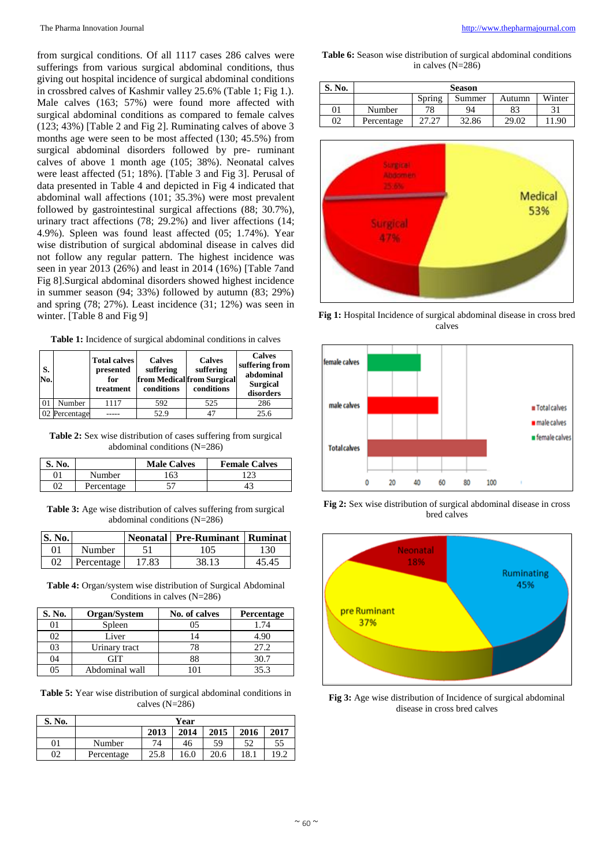from surgical conditions. Of all 1117 cases 286 calves were sufferings from various surgical abdominal conditions, thus giving out hospital incidence of surgical abdominal conditions in crossbred calves of Kashmir valley 25.6% (Table 1; Fig 1.). Male calves (163; 57%) were found more affected with surgical abdominal conditions as compared to female calves (123; 43%) [Table 2 and Fig 2]. Ruminating calves of above 3 months age were seen to be most affected (130; 45.5%) from surgical abdominal disorders followed by pre- ruminant calves of above 1 month age (105; 38%). Neonatal calves were least affected (51; 18%). [Table 3 and Fig 3]. Perusal of data presented in Table 4 and depicted in Fig 4 indicated that abdominal wall affections (101; 35.3%) were most prevalent followed by gastrointestinal surgical affections (88; 30.7%), urinary tract affections (78; 29.2%) and liver affections (14; 4.9%). Spleen was found least affected (05; 1.74%). Year wise distribution of surgical abdominal disease in calves did not follow any regular pattern. The highest incidence was seen in year 2013 (26%) and least in 2014 (16%) [Table 7and Fig 8].Surgical abdominal disorders showed highest incidence in summer season (94; 33%) followed by autumn (83; 29%) and spring (78; 27%). Least incidence (31; 12%) was seen in winter. [Table 8 and Fig 9]

**Table 1:** Incidence of surgical abdominal conditions in calves

| S.<br>No. |               | <b>Total calves</b><br>presented<br>for<br>treatment | <b>Calves</b><br>suffering<br>conditions | <b>Calves</b><br>suffering<br>from Medical from Surgical<br>conditions | <b>Calves</b><br>suffering from<br>abdominal<br><b>Surgical</b><br>disorders |
|-----------|---------------|------------------------------------------------------|------------------------------------------|------------------------------------------------------------------------|------------------------------------------------------------------------------|
|           | Number        | 1117                                                 | 592                                      | 525                                                                    | 286                                                                          |
|           | 02 Percentage |                                                      | 52.9                                     |                                                                        | 25.6                                                                         |

**Table 2:** Sex wise distribution of cases suffering from surgical abdominal conditions (N=286)

| S. No. |            | <b>Male Calves</b> | <b>Female Calves</b> |
|--------|------------|--------------------|----------------------|
| 01     | Number     | 163                | 123                  |
| 02     | Percentage |                    | 43                   |

**Table 3:** Age wise distribution of calves suffering from surgical abdominal conditions (N=286)

| S. No. |            |       | Neonatal Pre-Ruminant Ruminat |       |
|--------|------------|-------|-------------------------------|-------|
| 01     | Number     |       | 105                           | 130   |
| 02     | Percentage | 17.83 | 38.13                         | 45 45 |

**Table 4:** Organ/system wise distribution of Surgical Abdominal Conditions in calves (N=286)

| S. No. | Organ/System   | No. of calves | Percentage |
|--------|----------------|---------------|------------|
|        | Spleen         |               | 1.74       |
| 02     | Liver          | 14            | 4.90       |
| 03     | Urinary tract  | 78            | 27.2       |
| 04     |                | 88            | 30.7       |
|        | Abdominal wall |               | 35.3       |

**Table 5:** Year wise distribution of surgical abdominal conditions in calves (N=286)

| S. No. | Year       |      |      |      |      |      |
|--------|------------|------|------|------|------|------|
|        |            | 2013 | 2014 | 2015 | 2016 | 2017 |
| 01     | Number     | 74   | 46   | 59   | 52   | 55   |
| 02     | Percentage | 25.8 | 16.0 | 20.6 | 18.1 | 19.2 |

**Table 6:** Season wise distribution of surgical abdominal conditions in calves (N=286)

| S. No. | <b>Season</b> |        |        |        |        |  |
|--------|---------------|--------|--------|--------|--------|--|
|        |               | Spring | Summer | Autumn | Winter |  |
| 01     | Number        | 78     | 94     |        |        |  |
| 02     | Percentage    |        | 32.86  | 29.02  | 1 QC   |  |



**Fig 1:** Hospital Incidence of surgical abdominal disease in cross bred calves



**Fig 2:** Sex wise distribution of surgical abdominal disease in cross bred calves



**Fig 3:** Age wise distribution of Incidence of surgical abdominal disease in cross bred calves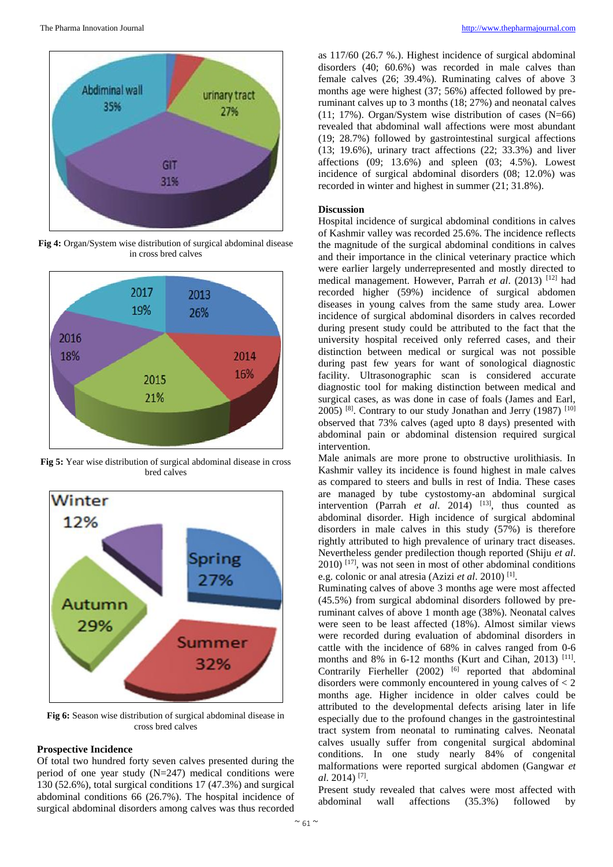

**Fig 4:** Organ/System wise distribution of surgical abdominal disease in cross bred calves



**Fig 5:** Year wise distribution of surgical abdominal disease in cross bred calves



**Fig 6:** Season wise distribution of surgical abdominal disease in cross bred calves

## **Prospective Incidence**

Of total two hundred forty seven calves presented during the period of one year study  $(N=247)$  medical conditions were 130 (52.6%), total surgical conditions 17 (47.3%) and surgical abdominal conditions 66 (26.7%). The hospital incidence of surgical abdominal disorders among calves was thus recorded

as 117/60 (26.7 %.). Highest incidence of surgical abdominal disorders (40; 60.6%) was recorded in male calves than female calves (26; 39.4%). Ruminating calves of above 3 months age were highest (37; 56%) affected followed by preruminant calves up to 3 months (18; 27%) and neonatal calves (11; 17%). Organ/System wise distribution of cases (N=66) revealed that abdominal wall affections were most abundant (19; 28.7%) followed by gastrointestinal surgical affections (13; 19.6%), urinary tract affections (22; 33.3%) and liver affections  $(09; 13.6%)$  and spleen  $(03; 4.5%)$ . Lowest incidence of surgical abdominal disorders (08; 12.0%) was recorded in winter and highest in summer (21; 31.8%).

#### **Discussion**

Hospital incidence of surgical abdominal conditions in calves of Kashmir valley was recorded 25.6%. The incidence reflects the magnitude of the surgical abdominal conditions in calves and their importance in the clinical veterinary practice which were earlier largely underrepresented and mostly directed to medical management. However, Parrah *et al*. (2013) [12] had recorded higher (59%) incidence of surgical abdomen diseases in young calves from the same study area. Lower incidence of surgical abdominal disorders in calves recorded during present study could be attributed to the fact that the university hospital received only referred cases, and their distinction between medical or surgical was not possible during past few years for want of sonological diagnostic facility. Ultrasonographic scan is considered accurate diagnostic tool for making distinction between medical and surgical cases, as was done in case of foals (James and Earl, 2005) <sup>[8]</sup>. Contrary to our study Jonathan and Jerry (1987) <sup>[10]</sup> observed that 73% calves (aged upto 8 days) presented with abdominal pain or abdominal distension required surgical intervention.

Male animals are more prone to obstructive urolithiasis. In Kashmir valley its incidence is found highest in male calves as compared to steers and bulls in rest of India. These cases are managed by tube cystostomy-an abdominal surgical intervention (Parrah *et al.* 2014) <sup>[13]</sup>, thus counted as abdominal disorder. High incidence of surgical abdominal disorders in male calves in this study (57%) is therefore rightly attributed to high prevalence of urinary tract diseases. Nevertheless gender predilection though reported (Shiju *et al*. 2010) [17], was not seen in most of other abdominal conditions e.g. colonic or anal atresia (Azizi *et al.* 2010)<sup>[1]</sup>.

Ruminating calves of above 3 months age were most affected (45.5%) from surgical abdominal disorders followed by preruminant calves of above 1 month age (38%). Neonatal calves were seen to be least affected (18%). Almost similar views were recorded during evaluation of abdominal disorders in cattle with the incidence of 68% in calves ranged from 0-6 months and 8% in 6-12 months (Kurt and Cihan, 2013)<sup>[11]</sup>. Contrarily Fierheller (2002) <sup>[6]</sup> reported that abdominal disorders were commonly encountered in young calves of  $<$  2 months age. Higher incidence in older calves could be attributed to the developmental defects arising later in life especially due to the profound changes in the gastrointestinal tract system from neonatal to ruminating calves. Neonatal calves usually suffer from congenital surgical abdominal conditions. In one study nearly 84% of congenital malformations were reported surgical abdomen (Gangwar *et al*. 2014) [7] .

Present study revealed that calves were most affected with abdominal wall affections (35.3%) followed by